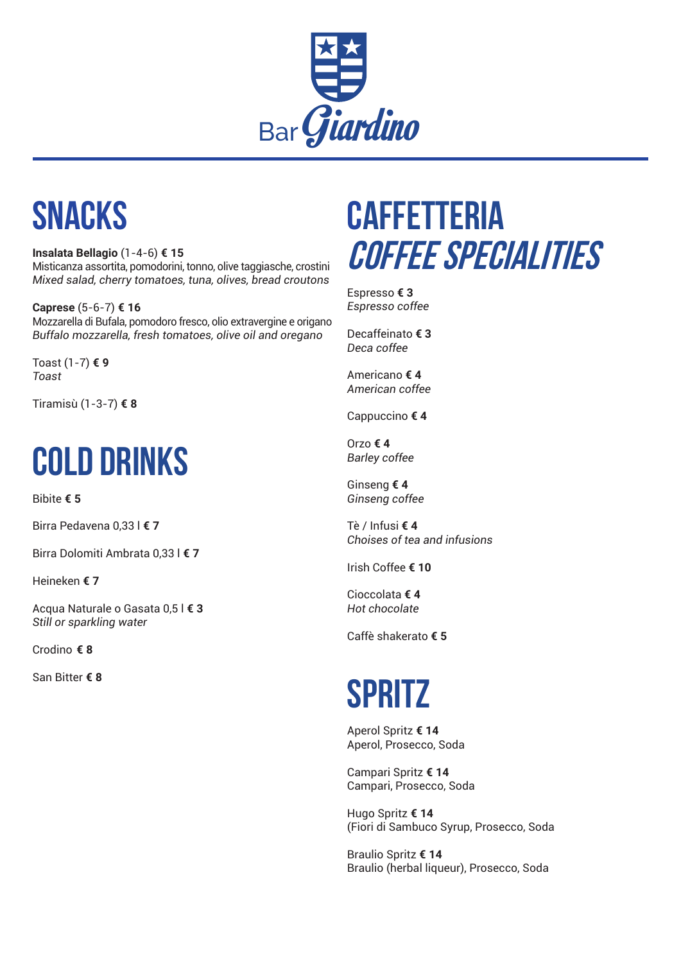

## **SNACKS**

**Insalata Bellagio** (1-4-6) **€ 15** Misticanza assortita, pomodorini, tonno, olive taggiasche, crostini *Mixed salad, cherry tomatoes, tuna, olives, bread croutons*

**Caprese** (5-6-7) **€ 16** Mozzarella di Bufala, pomodoro fresco, olio extravergine e origano *Buffalo mozzarella, fresh tomatoes, olive oil and oregano*

Toast (1-7) **€ 9** *Toast*

Tiramisù (1-3-7) **€ 8**

# **COLD DRINKS**

Bibite **€ 5**

Birra Pedavena 0,33 l **€ 7**

Birra Dolomiti Ambrata 0,33 l **€ 7**

Heineken **€ 7**

Acqua Naturale o Gasata 0,5 l **€ 3** *Still or sparkling water*

Crodino **€ 8**

San Bitter **€ 8**

## **CAFFETTERIA COFFEE SPECIALITIES**

Espresso **€ 3** *Espresso coffee*

Decaffeinato **€ 3** *Deca coffee*

Americano **€ 4** *American coffee*

Cappuccino **€ 4** 

Orzo **€ 4** *Barley coffee*

Ginseng **€ 4** *Ginseng coffee*

Tè / Infusi **€ 4** *Choises of tea and infusions*

Irish Coffee **€ 10**

Cioccolata **€ 4** *Hot chocolate*

Caffè shakerato **€ 5**

## **SPRITZ**

Aperol Spritz **€ 14** Aperol, Prosecco, Soda

Campari Spritz **€ 14** Campari, Prosecco, Soda

Hugo Spritz **€ 14** (Fiori di Sambuco Syrup, Prosecco, Soda

Braulio Spritz **€ 14** Braulio (herbal liqueur), Prosecco, Soda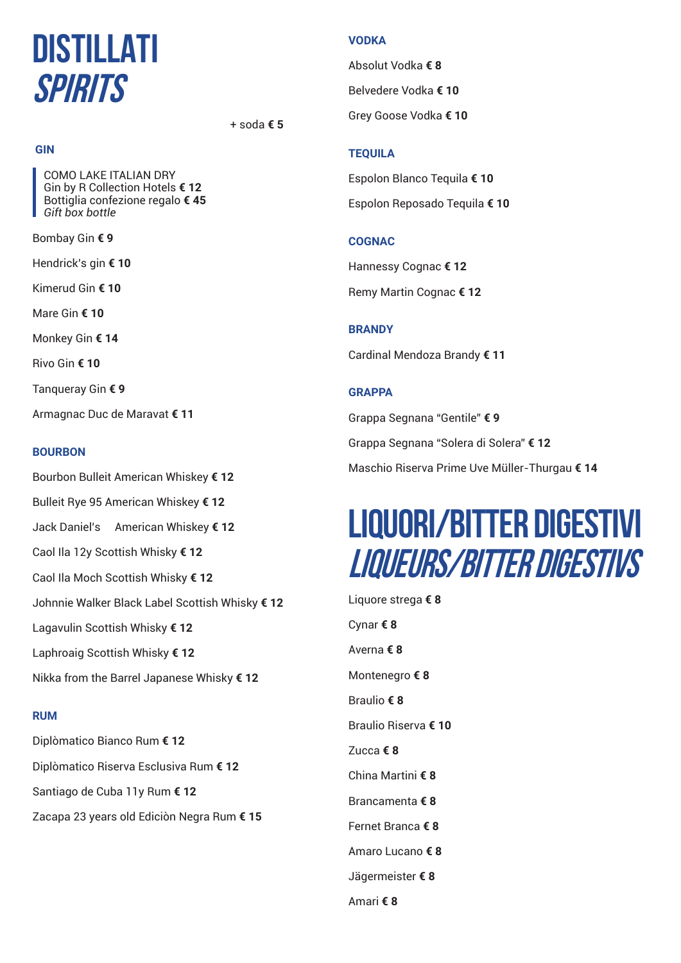### **DISTILLATI SPIRITS**

+ soda **€ 5**

#### **GIN**

 COMO LAKE ITALIAN DRY Gin by R Collection Hotels **€ 12** Bottiglia confezione regalo **€ 45**  *Gift box bottle*

Bombay Gin **€ 9**

Hendrick's gin **€ 10**

Kimerud Gin **€ 10**

Mare Gin **€ 10**

Monkey Gin **€ 14**

Rivo Gin **€ 10**

Tanqueray Gin **€ 9**

Armagnac Duc de Maravat **€ 11**

#### **BOURBON**

Bourbon Bulleit American Whiskey **€ 12** Bulleit Rye 95 American Whiskey **€ 12** Jack Daniel's American Whiskey **€ 12** Caol Ila 12y Scottish Whisky **€ 12** Caol Ila Moch Scottish Whisky **€ 12** Johnnie Walker Black Label Scottish Whisky **€ 12** Lagavulin Scottish Whisky **€ 12** Laphroaig Scottish Whisky **€ 12** Nikka from the Barrel Japanese Whisky **€ 12**

#### **RUM**

Diplòmatico Bianco Rum **€ 12** Diplòmatico Riserva Esclusiva Rum **€ 12** Santiago de Cuba 11y Rum **€ 12** Zacapa 23 years old Ediciòn Negra Rum **€ 15**

#### **VODKA**

Absolut Vodka **€ 8** Belvedere Vodka **€ 10** Grey Goose Vodka **€ 10**

#### **TEQUILA**

Espolon Blanco Tequila **€ 10** Espolon Reposado Tequila **€ 10**

#### **COGNAC**

Hannessy Cognac **€ 12** Remy Martin Cognac **€ 12**

#### **BRANDY**

Cardinal Mendoza Brandy **€ 11**

#### **GRAPPA**

Grappa Segnana "Gentile" **€ 9** Grappa Segnana "Solera di Solera" **€ 12** Maschio Riserva Prime Uve Müller-Thurgau **€ 14**

### **LIQUORI/BITTER DIGESTIVI LIQUEURS/BITTER DIGESTIVS**

Liquore strega **€ 8** Cynar **€ 8** Averna **€ 8** Montenegro **€ 8** Braulio **€ 8** Braulio Riserva **€ 10** Zucca **€ 8** China Martini **€ 8** Brancamenta **€ 8** Fernet Branca **€ 8** Amaro Lucano **€ 8** Jägermeister **€ 8** Amari **€ 8**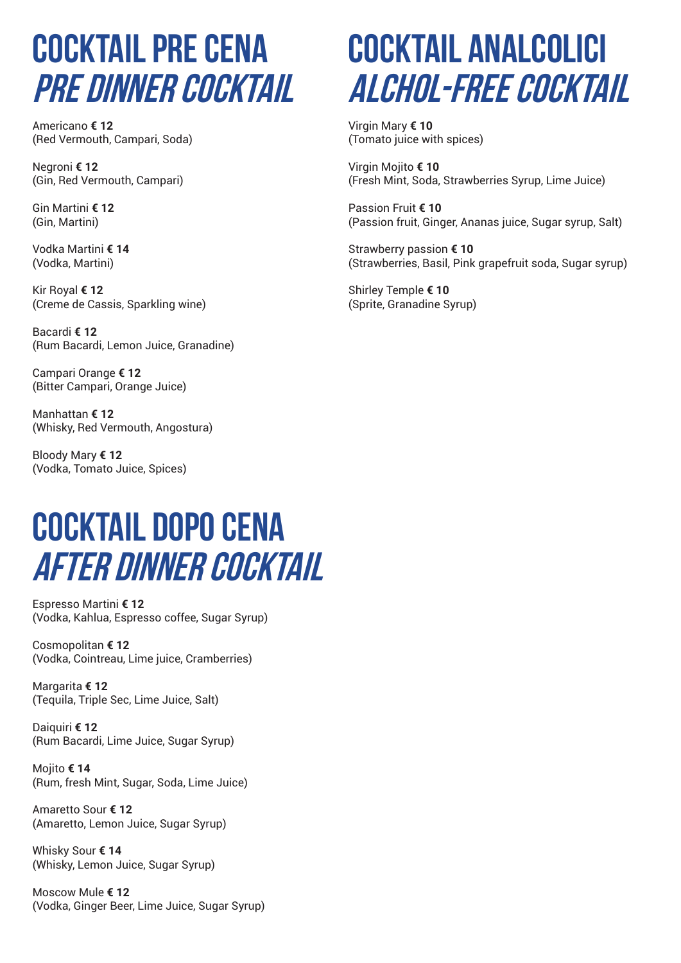### **COCKTAIL PRE CENA PRE DINNER COCKTAIL**

Americano **€ 12** (Red Vermouth, Campari, Soda)

Negroni **€ 12** (Gin, Red Vermouth, Campari)

Gin Martini **€ 12** (Gin, Martini)

Vodka Martini **€ 14** (Vodka, Martini)

Kir Royal **€ 12** (Creme de Cassis, Sparkling wine)

Bacardi **€ 12** (Rum Bacardi, Lemon Juice, Granadine)

Campari Orange **€ 12** (Bitter Campari, Orange Juice)

Manhattan **€ 12** (Whisky, Red Vermouth, Angostura)

Bloody Mary **€ 12** (Vodka, Tomato Juice, Spices)

### **COCKTAIL DOPO CENA AFTER DINNER COCKTAIL**

Espresso Martini **€ 12** (Vodka, Kahlua, Espresso coffee, Sugar Syrup)

Cosmopolitan **€ 12** (Vodka, Cointreau, Lime juice, Cramberries)

Margarita **€ 12** (Tequila, Triple Sec, Lime Juice, Salt)

Daiquiri **€ 12** (Rum Bacardi, Lime Juice, Sugar Syrup)

Mojito **€ 14** (Rum, fresh Mint, Sugar, Soda, Lime Juice)

Amaretto Sour **€ 12** (Amaretto, Lemon Juice, Sugar Syrup)

Whisky Sour **€ 14** (Whisky, Lemon Juice, Sugar Syrup)

Moscow Mule **€ 12** (Vodka, Ginger Beer, Lime Juice, Sugar Syrup)

## **COCKTAIL ANALCOLICI ALCHOL-FREE COCKTAIL**

Virgin Mary **€ 10** (Tomato juice with spices)

Virgin Mojito **€ 10** (Fresh Mint, Soda, Strawberries Syrup, Lime Juice)

Passion Fruit **€ 10** (Passion fruit, Ginger, Ananas juice, Sugar syrup, Salt)

Strawberry passion **€ 10** (Strawberries, Basil, Pink grapefruit soda, Sugar syrup)

Shirley Temple **€ 10** (Sprite, Granadine Syrup)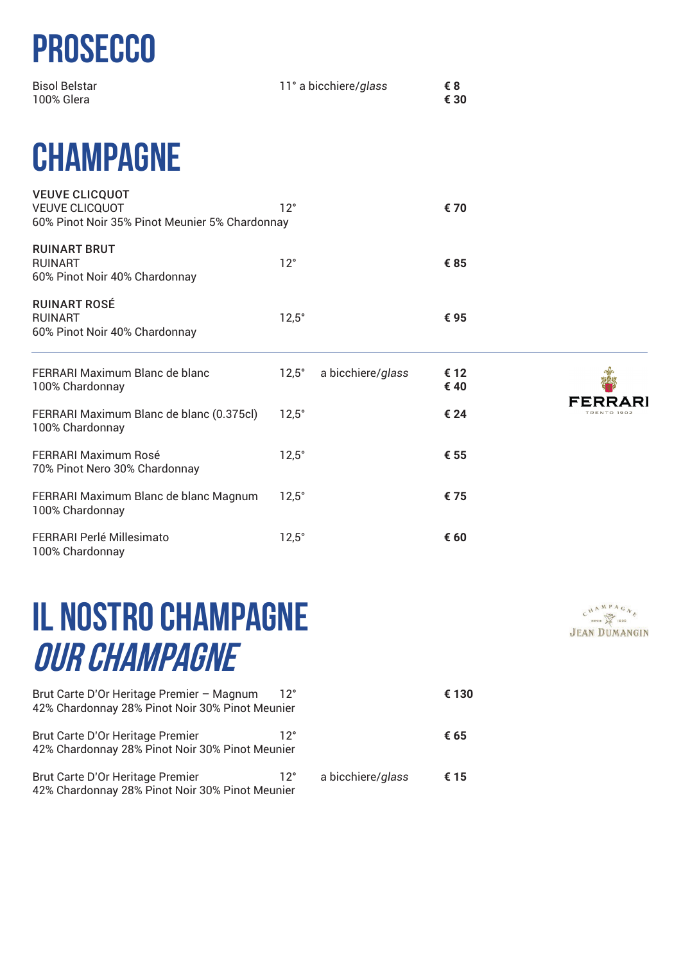# **PROSECCO**

| <b>Bisol Belstar</b> | 11° a bicchiere/glass | €8   |
|----------------------|-----------------------|------|
| 100% Glera           |                       | € 30 |

## **CHAMPAGNE**

| <b>VEUVE CLICQUOT</b><br><b>VEUVE CLICQUOT</b><br>60% Pinot Noir 35% Pinot Meunier 5% Chardonnay | $12^{\circ}$ |                   | € 70         |                        |
|--------------------------------------------------------------------------------------------------|--------------|-------------------|--------------|------------------------|
| <b>RUINART BRUT</b><br><b>RUINART</b><br>60% Pinot Noir 40% Chardonnay                           | $12^{\circ}$ |                   | €85          |                        |
| <b>RUINART ROSÉ</b><br><b>RUINART</b><br>60% Pinot Noir 40% Chardonnay                           | $12.5^\circ$ |                   | € 95         |                        |
| FERRARI Maximum Blanc de blanc<br>100% Chardonnay                                                | $12,5^\circ$ | a bicchiere/glass | € 12<br>€ 40 |                        |
| FERRARI Maximum Blanc de blanc (0.375cl)<br>100% Chardonnay                                      | $12.5^\circ$ |                   | € 24         | FERRARI<br>TRENTO 1902 |
| <b>FERRARI Maximum Rosé</b><br>70% Pinot Nero 30% Chardonnay                                     | $12,5^\circ$ |                   | € 55         |                        |
| FERRARI Maximum Blanc de blanc Magnum<br>100% Chardonnay                                         | $12,5^\circ$ |                   | €75          |                        |
| FERRARI Perlé Millesimato<br>100% Chardonnay                                                     | $12,5^\circ$ |                   | € 60         |                        |

## **IL NOSTRO CHAMPAGNE OUR CHAMPAGNE**

| Brut Carte D'Or Heritage Premier - Magnum<br>42% Chardonnay 28% Pinot Noir 30% Pinot Meunier | $12^{\circ}$ |                   | € 130 |
|----------------------------------------------------------------------------------------------|--------------|-------------------|-------|
| Brut Carte D'Or Heritage Premier<br>42% Chardonnay 28% Pinot Noir 30% Pinot Meunier          | ヿク゜          |                   | € 65  |
| Brut Carte D'Or Heritage Premier<br>42% Chardonnay 28% Pinot Noir 30% Pinot Meunier          | $12^{\circ}$ | a bicchiere/glass | € 15  |

 $\begin{array}{ccc}\nC & A & M & P & A & G & N & \mathcal{E} \\
\text{where}&\text{where}&\text{ } &\text{ } &\text{ } &\text{ } & \mathcal{E}\n\end{array}$ **JEAN DUMANGIN**